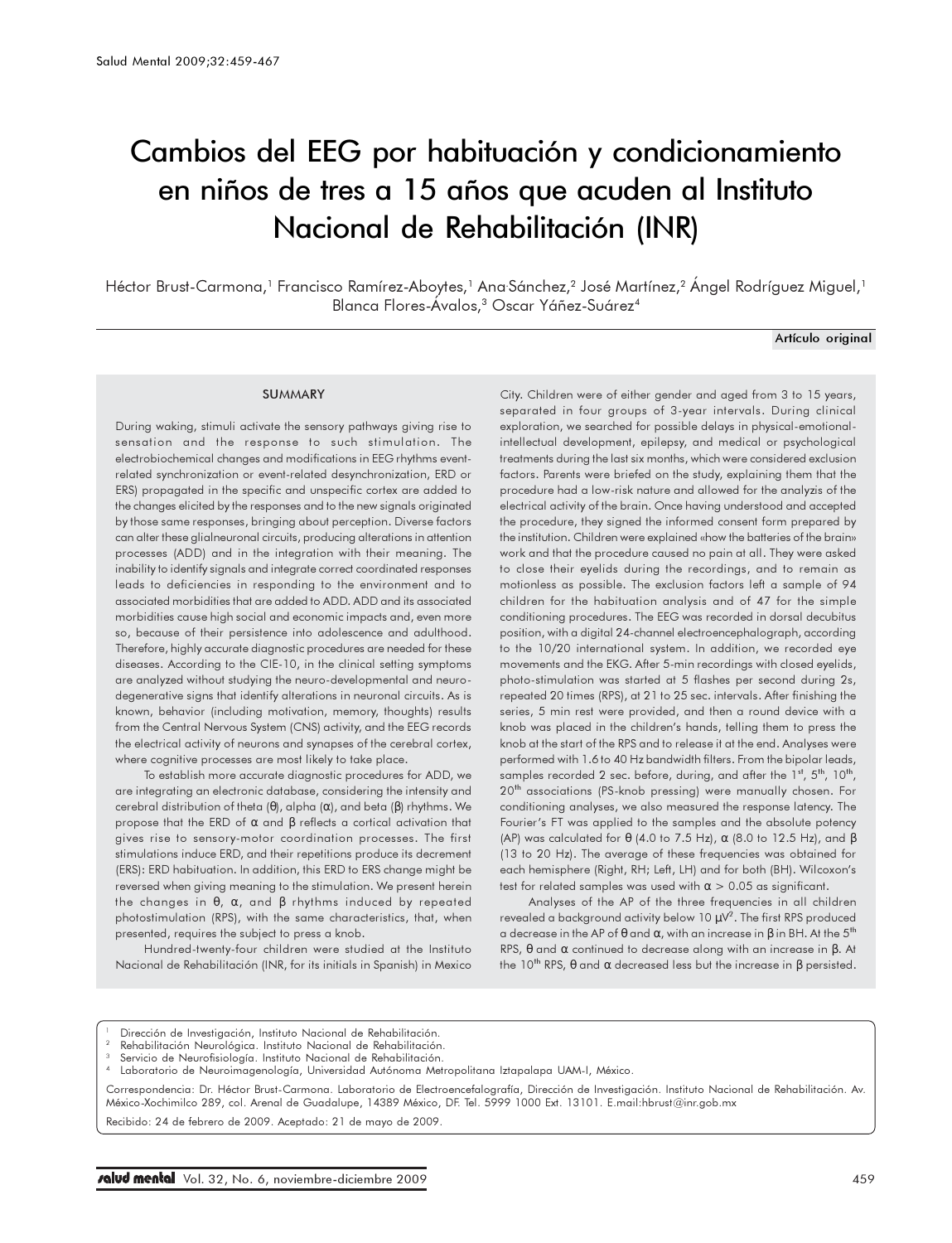# Cambios del EEG por habituación y condicionamiento en niños de tres a 15 años que acuden al Instituto Nacional de Rehabilitación (INR)

Héctor Brust-Carmona,' Francisco Ramírez-Aboytes,' Ana Sánchez,<sup>2</sup> José Martínez,<sup>2</sup> Ángel Rodríguez Miguel,' Blanca Flores-Ávalos,<sup>3</sup> Oscar Yáñez-Suárez<sup>4</sup>

### Artículo original

### **SUMMARY**

During waking, stimuli activate the sensory pathways giving rise to sensation and the response to such stimulation. The electrobiochemical changes and modifications in EEG rhythms eventrelated synchronization or event-related desynchronization, ERD or ERS) propagated in the specific and unspecific cortex are added to the changes elicited by the responses and to the new signals originated by those same responses, bringing about perception. Diverse factors can alter these glialneuronal circuits, producing alterations in attention processes (ADD) and in the integration with their meaning. The inability to identify signals and integrate correct coordinated responses leads to deficiencies in responding to the environment and to associated morbidities that are added to ADD. ADD and its associated morbidities cause high social and economic impacts and, even more so, because of their persistence into adolescence and adulthood. Therefore, highly accurate diagnostic procedures are needed for these diseases. According to the CIE-10, in the clinical setting symptoms are analyzed without studying the neuro-developmental and neurodegenerative signs that identify alterations in neuronal circuits. As is known, behavior (including motivation, memory, thoughts) results from the Central Nervous System (CNS) activity, and the EEG records the electrical activity of neurons and synapses of the cerebral cortex, where cognitive processes are most likely to take place.

To establish more accurate diagnostic procedures for ADD, we are integrating an electronic database, considering the intensity and cerebral distribution of theta (θ), alpha (α), and beta (β) rhythms. We propose that the ERD of α and β reflects a cortical activation that gives rise to sensory-motor coordination processes. The first stimulations induce ERD, and their repetitions produce its decrement (ERS): ERD habituation. In addition, this ERD to ERS change might be reversed when giving meaning to the stimulation. We present herein the changes in  $θ$ ,  $α$ , and  $β$  rhythms induced by repeated photostimulation (RPS), with the same characteristics, that, when presented, requires the subject to press a knob.

Hundred-twenty-four children were studied at the Instituto Nacional de Rehabilitación (INR, for its initials in Spanish) in Mexico

City. Children were of either gender and aged from 3 to 15 years, separated in four groups of 3-year intervals. During clinical exploration, we searched for possible delays in physical-emotionalintellectual development, epilepsy, and medical or psychological treatments during the last six months, which were considered exclusion factors. Parents were briefed on the study, explaining them that the procedure had a low-risk nature and allowed for the analyzis of the electrical activity of the brain. Once having understood and accepted the procedure, they signed the informed consent form prepared by the institution. Children were explained «how the batteries of the brain» work and that the procedure caused no pain at all. They were asked to close their eyelids during the recordings, and to remain as motionless as possible. The exclusion factors left a sample of 94 children for the habituation analysis and of 47 for the simple conditioning procedures. The EEG was recorded in dorsal decubitus position, with a digital 24-channel electroencephalograph, according to the 10/20 international system. In addition, we recorded eye movements and the EKG. After 5-min recordings with closed eyelids, photo-stimulation was started at 5 flashes per second during 2s, repeated 20 times (RPS), at 21 to 25 sec. intervals. After finishing the series, 5 min rest were provided, and then a round device with a knob was placed in the children's hands, telling them to press the knob at the start of the RPS and to release it at the end. Analyses were performed with 1.6 to 40 Hz bandwidth filters. From the bipolar leads, samples recorded 2 sec. before, during, and after the  $1<sup>st</sup>$ ,  $5<sup>th</sup>$ ,  $10<sup>th</sup>$ , 20<sup>th</sup> associations (PS-knob pressing) were manually chosen. For conditioning analyses, we also measured the response latency. The Fourier's FT was applied to the samples and the absolute potency (AP) was calculated for  $\theta$  (4.0 to 7.5 Hz),  $\alpha$  (8.0 to 12.5 Hz), and  $\beta$ (13 to 20 Hz). The average of these frequencies was obtained for each hemisphere (Right, RH; Left, LH) and for both (BH). Wilcoxon's test for related samples was used with  $\alpha > 0.05$  as significant.

Analyses of the AP of the three frequencies in all children revealed a background activity below 10  $\mu$ V<sup>2</sup>. The first RPS produced a decrease in the AP of θ and α, with an increase in β in BH. At the 5th RPS,  $\theta$  and  $\alpha$  continued to decrease along with an increase in  $\beta$ . At the 10<sup>th</sup> RPS,  $θ$  and  $α$  decreased less but the increase in  $β$  persisted.

- Dirección de Investigación, Instituto Nacional de Rehabilitación.
- Rehabilitación Neurológica. Instituto Nacional de Rehabilitación.
- Servicio de Neurofisiología. Instituto Nacional de Rehabilitación.

Laboratorio de Neuroimagenología, Universidad Autónoma Metropolitana Iztapalapa UAM-I, México.

Correspondencia: Dr. Héctor Brust-Carmona. Laboratorio de Electroencefalografía, Dirección de Investigación. Instituto Nacional de Rehabilitación. Av. México-Xochimilco 289, col. Arenal de Guadalupe, 14389 México, DF. Tel. 5999 1000 Ext. 13101. E.mail:hbrust@inr.gob.mx

Recibido: 24 de febrero de 2009. Aceptado: 21 de mayo de 2009.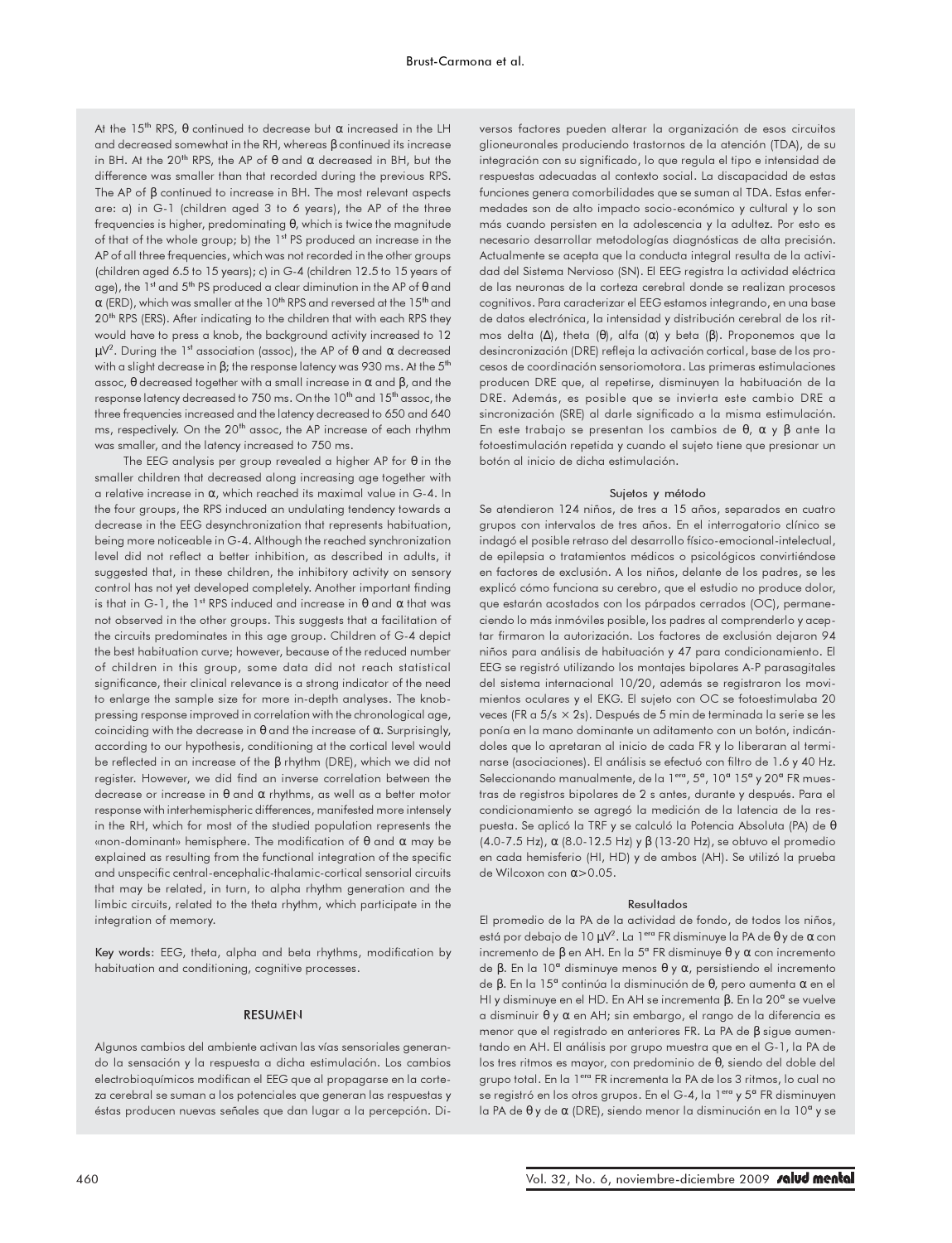At the  $15^{th}$  RPS,  $\theta$  continued to decrease but  $\alpha$  increased in the LH and decreased somewhat in the RH, whereas β continued its increase in BH. At the 20<sup>th</sup> RPS, the AP of  $\theta$  and  $\alpha$  decreased in BH, but the difference was smaller than that recorded during the previous RPS. The AP of β continued to increase in BH. The most relevant aspects are: a) in G-1 (children aged 3 to 6 years), the AP of the three frequencies is higher, predominating θ, which is twice the magnitude of that of the whole group; b) the 1st PS produced an increase in the AP of all three frequencies, which was not recorded in the other groups (children aged 6.5 to 15 years); c) in G-4 (children 12.5 to 15 years of age), the  $1^{st}$  and  $5^{th}$  PS produced a clear diminution in the AP of  $\theta$  and  $\alpha$  (ERD), which was smaller at the 10<sup>th</sup> RPS and reversed at the 15<sup>th</sup> and 20<sup>th</sup> RPS (ERS). After indicating to the children that with each RPS they would have to press a knob, the background activity increased to 12  $\mu$ V<sup>2</sup>. During the 1st association (assoc), the AP of θ and α decreased with a slight decrease in  $\beta$ ; the response latency was 930 ms. At the 5<sup>th</sup> assoc,  $θ$  decreased together with a small increase in  $α$  and  $β$ , and the response latency decreased to 750 ms. On the 10<sup>th</sup> and 15<sup>th</sup> assoc, the three frequencies increased and the latency decreased to 650 and 640 ms, respectively. On the 20<sup>th</sup> assoc, the AP increase of each rhythm was smaller, and the latency increased to 750 ms.

The EEG analysis per group revealed a higher AP for θ in the smaller children that decreased along increasing age together with a relative increase in α, which reached its maximal value in G-4. In the four groups, the RPS induced an undulating tendency towards a decrease in the EEG desynchronization that represents habituation, being more noticeable in G-4. Although the reached synchronization level did not reflect a better inhibition, as described in adults, it suggested that, in these children, the inhibitory activity on sensory control has not yet developed completely. Another important finding is that in G-1, the 1<sup>st</sup> RPS induced and increase in  $θ$  and  $α$  that was not observed in the other groups. This suggests that a facilitation of the circuits predominates in this age group. Children of G-4 depict the best habituation curve; however, because of the reduced number of children in this group, some data did not reach statistical significance, their clinical relevance is a strong indicator of the need to enlarge the sample size for more in-depth analyses. The knobpressing response improved in correlation with the chronological age, coinciding with the decrease in  $\theta$  and the increase of  $\alpha$ . Surprisingly, according to our hypothesis, conditioning at the cortical level would be reflected in an increase of the β rhythm (DRE), which we did not register. However, we did find an inverse correlation between the decrease or increase in  $\theta$  and  $\alpha$  rhythms, as well as a better motor response with interhemispheric differences, manifested more intensely in the RH, which for most of the studied population represents the «non-dominant» hemisphere. The modification of θ and α may be explained as resulting from the functional integration of the specific and unspecific central-encephalic-thalamic-cortical sensorial circuits that may be related, in turn, to alpha rhythm generation and the limbic circuits, related to the theta rhythm, which participate in the integration of memory.

Key words: EEG, theta, alpha and beta rhythms, modification by habituation and conditioning, cognitive processes.

### RESUMEN

Algunos cambios del ambiente activan las vías sensoriales generando la sensación y la respuesta a dicha estimulación. Los cambios electrobioquímicos modifican el EEG que al propagarse en la corteza cerebral se suman a los potenciales que generan las respuestas y éstas producen nuevas señales que dan lugar a la percepción. Diversos factores pueden alterar la organización de esos circuitos glioneuronales produciendo trastornos de la atención (TDA), de su integración con su significado, lo que regula el tipo e intensidad de respuestas adecuadas al contexto social. La discapacidad de estas funciones genera comorbilidades que se suman al TDA. Estas enfermedades son de alto impacto socio-económico y cultural y lo son más cuando persisten en la adolescencia y la adultez. Por esto es necesario desarrollar metodologías diagnósticas de alta precisión. Actualmente se acepta que la conducta integral resulta de la actividad del Sistema Nervioso (SN). El EEG registra la actividad eléctrica de las neuronas de la corteza cerebral donde se realizan procesos cognitivos. Para caracterizar el EEG estamos integrando, en una base de datos electrónica, la intensidad y distribución cerebral de los ritmos delta (Δ), theta (θ), alfa (α) y beta (β). Proponemos que la desincronización (DRE) refleja la activación cortical, base de los procesos de coordinación sensoriomotora. Las primeras estimulaciones producen DRE que, al repetirse, disminuyen la habituación de la DRE. Además, es posible que se invierta este cambio DRE a sincronización (SRE) al darle significado a la misma estimulación. En este trabajo se presentan los cambios de θ, α y β ante la fotoestimulación repetida y cuando el sujeto tiene que presionar un botón al inicio de dicha estimulación.

### Sujetos y método

Se atendieron 124 niños, de tres a 15 años, separados en cuatro grupos con intervalos de tres años. En el interrogatorio clínico se indagó el posible retraso del desarrollo físico-emocional-intelectual, de epilepsia o tratamientos médicos o psicológicos convirtiéndose en factores de exclusión. A los niños, delante de los padres, se les explicó cómo funciona su cerebro, que el estudio no produce dolor, que estarán acostados con los párpados cerrados (OC), permaneciendo lo más inmóviles posible, los padres al comprenderlo y aceptar firmaron la autorización. Los factores de exclusión dejaron 94 niños para análisis de habituación y 47 para condicionamiento. El EEG se registró utilizando los montajes bipolares A-P parasagitales del sistema internacional 10/20, además se registraron los movimientos oculares y el EKG. El sujeto con OC se fotoestimulaba 20 veces (FR a 5/s × 2s). Después de 5 min de terminada la serie se les ponía en la mano dominante un aditamento con un botón, indicándoles que lo apretaran al inicio de cada FR y lo liberaran al terminarse (asociaciones). El análisis se efectuó con filtro de 1.6 y 40 Hz. Seleccionando manualmente, de la 1<sup>era</sup>, 5<sup>ª</sup>, 10<sup>ª</sup> 15<sup>ª</sup> y 20<sup>ª</sup> FR muestras de registros bipolares de 2 s antes, durante y después. Para el condicionamiento se agregó la medición de la latencia de la respuesta. Se aplicó la TRF y se calculó la Potencia Absoluta (PA) de θ (4.0-7.5 Hz), α (8.0-12.5 Hz) y β (13-20 Hz), se obtuvo el promedio en cada hemisferio (HI, HD) y de ambos (AH). Se utilizó la prueba de Wilcoxon con α>0.05.

#### Resultados

El promedio de la PA de la actividad de fondo, de todos los niños, está por debajo de 10 μV<sup>2</sup>. La 1<sup>era</sup> FR disminuye la PA de θ y de α con incremento de β en AH. En la 5ª FR disminuye θ y α con incremento de β. En la 10ª disminuye menos θ y α, persistiendo el incremento de β. En la 15ª continúa la disminución de θ, pero aumenta α en el HI y disminuye en el HD. En AH se incrementa β. En la 20ª se vuelve a disminuir θ y α en AH; sin embargo, el rango de la diferencia es menor que el registrado en anteriores FR. La PA de β sigue aumentando en AH. El análisis por grupo muestra que en el G-1, la PA de los tres ritmos es mayor, con predominio de θ, siendo del doble del grupo total. En la 1<sup>era</sup> FR incrementa la PA de los 3 ritmos, lo cual no se registró en los otros grupos. En el G-4, la 1<sup>era</sup> y 5ª FR disminuyen la PA de θ y de α (DRE), siendo menor la disminución en la 10ª y se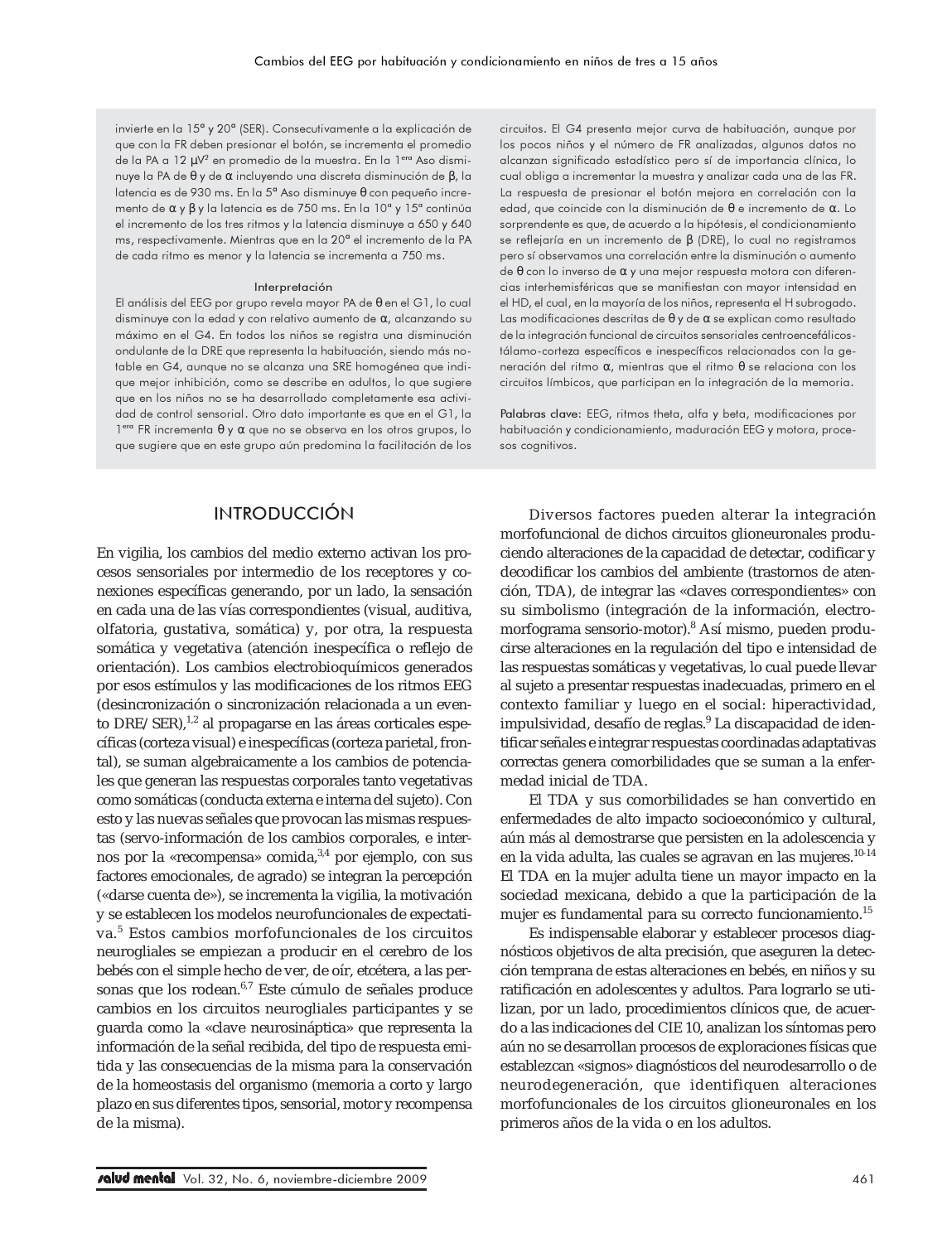invierte en la 15ª y 20ª (SER). Consecutivamente a la explicación de que con la FR deben presionar el botón, se incrementa el promedio de la PA a 12 μV<sup>2</sup> en promedio de la muestra. En la 1<sup>era</sup> Aso disminuye la PA de θ y de α incluyendo una discreta disminución de β, la latencia es de 930 ms. En la 5ª Aso disminuye θ con pequeño incremento de α y β y la latencia es de 750 ms. En la 10ª y 15ª continúa el incremento de los tres ritmos y la latencia disminuye a 650 y 640 ms, respectivamente. Mientras que en la 20ª el incremento de la PA de cada ritmo es menor y la latencia se incrementa a 750 ms.

#### Interpretación

El análisis del EEG por grupo revela mayor PA de θ en el G1, lo cual disminuye con la edad y con relativo aumento de α, alcanzando su máximo en el G4. En todos los niños se registra una disminución ondulante de la DRE que representa la habituación, siendo más notable en G4, aunque no se alcanza una SRE homogénea que indique mejor inhibición, como se describe en adultos, lo que sugiere que en los niños no se ha desarrollado completamente esa actividad de control sensorial. Otro dato importante es que en el G1, la 1era FR incrementa θ y α que no se observa en los otros grupos, lo que sugiere que en este grupo aún predomina la facilitación de los circuitos. El G4 presenta mejor curva de habituación, aunque por los pocos niños y el número de FR analizadas, algunos datos no alcanzan significado estadístico pero sí de importancia clínica, lo cual obliga a incrementar la muestra y analizar cada una de las FR. La respuesta de presionar el botón mejora en correlación con la edad, que coincide con la disminución de θ e incremento de α. Lo sorprendente es que, de acuerdo a la hipótesis, el condicionamiento se reflejaría en un incremento de β (DRE), lo cual no registramos pero sí observamos una correlación entre la disminución o aumento de θ con lo inverso de α y una mejor respuesta motora con diferencias interhemisféricas que se manifiestan con mayor intensidad en el HD, el cual, en la mayoría de los niños, representa el H subrogado. Las modificaciones descritas de θ y de α se explican como resultado de la integración funcional de circuitos sensoriales centroencefálicostálamo-corteza específicos e inespecíficos relacionados con la generación del ritmo α, mientras que el ritmo θ se relaciona con los circuitos límbicos, que participan en la integración de la memoria.

Palabras clave: EEG, ritmos theta, alfa y beta, modificaciones por habituación y condicionamiento, maduración EEG y motora, procesos cognitivos.

# INTRODUCCIÓN

En vigilia, los cambios del medio externo activan los procesos sensoriales por intermedio de los receptores y conexiones específicas generando, por un lado, la sensación en cada una de las vías correspondientes (visual, auditiva, olfatoria, gustativa, somática) y, por otra, la respuesta somática y vegetativa (atención inespecífica o reflejo de orientación). Los cambios electrobioquímicos generados por esos estímulos y las modificaciones de los ritmos EEG (desincronización o sincronización relacionada a un evento DRE/SER),<sup>1,2</sup> al propagarse en las áreas corticales específicas (corteza visual) e inespecíficas (corteza parietal, frontal), se suman algebraicamente a los cambios de potenciales que generan las respuestas corporales tanto vegetativas como somáticas (conducta externa e interna del sujeto). Con esto y las nuevas señales que provocan las mismas respuestas (servo-información de los cambios corporales, e internos por la «recompensa» comida,<sup>3,4</sup> por ejemplo, con sus factores emocionales, de agrado) se integran la percepción («darse cuenta de»), se incrementa la vigilia, la motivación y se establecen los modelos neurofuncionales de expectativa.<sup>5</sup> Estos cambios morfofuncionales de los circuitos neurogliales se empiezan a producir en el cerebro de los bebés con el simple hecho de ver, de oír, etcétera, a las personas que los rodean.<sup>6,7</sup> Este cúmulo de señales produce cambios en los circuitos neurogliales participantes y se guarda como la «clave neurosináptica» que representa la información de la señal recibida, del tipo de respuesta emitida y las consecuencias de la misma para la conservación de la homeostasis del organismo (memoria a corto y largo plazo en sus diferentes tipos, sensorial, motor y recompensa de la misma).

Diversos factores pueden alterar la integración morfofuncional de dichos circuitos glioneuronales produciendo alteraciones de la capacidad de detectar, codificar y decodificar los cambios del ambiente (trastornos de atención, TDA), de integrar las «claves correspondientes» con su simbolismo (integración de la información, electromorfograma sensorio-motor).8 Así mismo, pueden producirse alteraciones en la regulación del tipo e intensidad de las respuestas somáticas y vegetativas, lo cual puede llevar al sujeto a presentar respuestas inadecuadas, primero en el contexto familiar y luego en el social: hiperactividad, impulsividad, desafío de reglas.<sup>9</sup> La discapacidad de identificar señales e integrar respuestas coordinadas adaptativas correctas genera comorbilidades que se suman a la enfermedad inicial de TDA.

El TDA y sus comorbilidades se han convertido en enfermedades de alto impacto socioeconómico y cultural, aún más al demostrarse que persisten en la adolescencia y en la vida adulta, las cuales se agravan en las mujeres.<sup>10-14</sup> El TDA en la mujer adulta tiene un mayor impacto en la sociedad mexicana, debido a que la participación de la mujer es fundamental para su correcto funcionamiento.<sup>15</sup>

Es indispensable elaborar y establecer procesos diagnósticos objetivos de alta precisión, que aseguren la detección temprana de estas alteraciones en bebés, en niños y su ratificación en adolescentes y adultos. Para lograrlo se utilizan, por un lado, procedimientos clínicos que, de acuerdo a las indicaciones del CIE 10, analizan los síntomas pero aún no se desarrollan procesos de exploraciones físicas que establezcan «signos» diagnósticos del neurodesarrollo o de neurodegeneración, que identifiquen alteraciones morfofuncionales de los circuitos glioneuronales en los primeros años de la vida o en los adultos.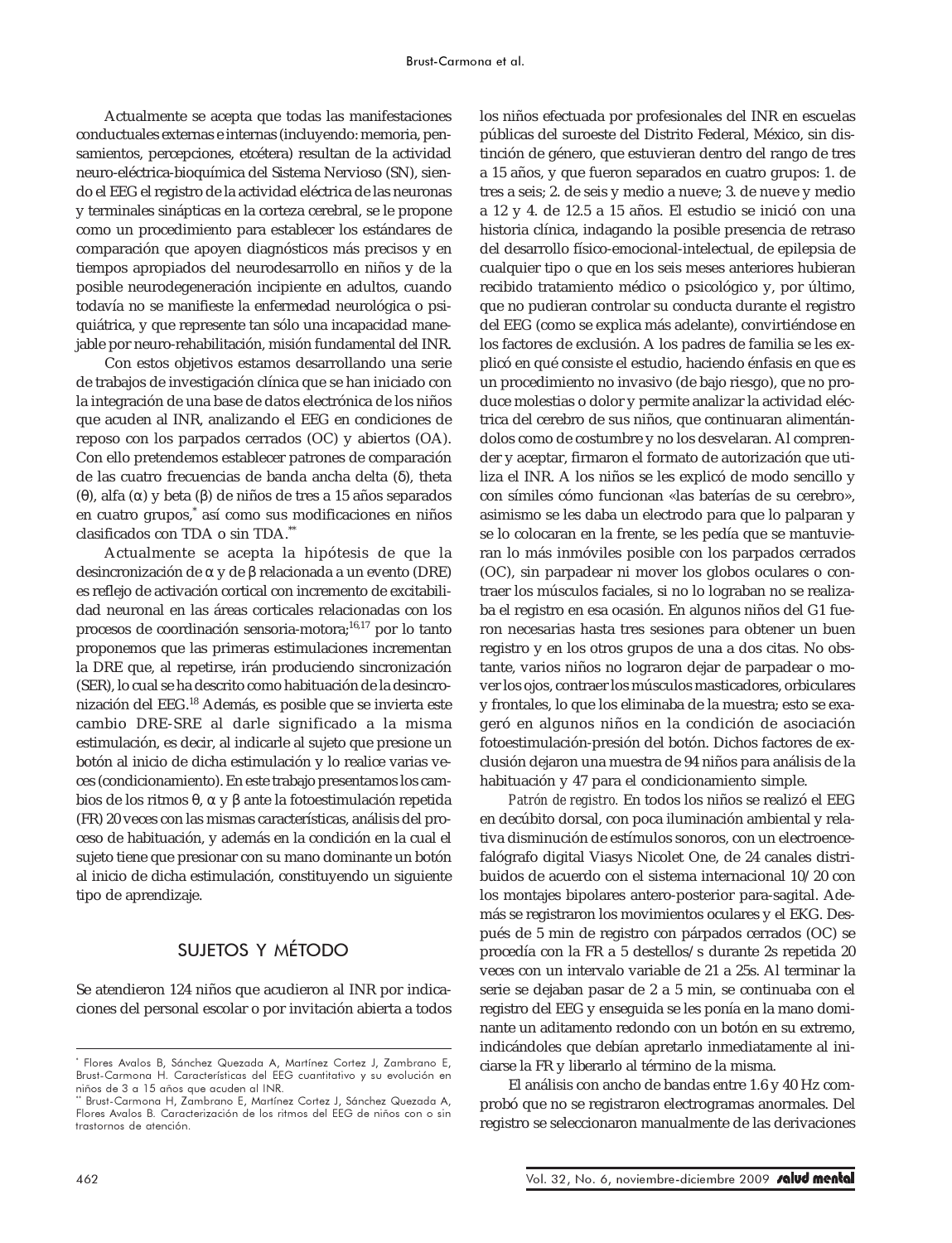Actualmente se acepta que todas las manifestaciones conductuales externas e internas (incluyendo: memoria, pensamientos, percepciones, etcétera) resultan de la actividad neuro-eléctrica-bioquímica del Sistema Nervioso (SN), siendo el EEG el registro de la actividad eléctrica de las neuronas y terminales sinápticas en la corteza cerebral, se le propone como un procedimiento para establecer los estándares de comparación que apoyen diagnósticos más precisos y en tiempos apropiados del neurodesarrollo en niños y de la posible neurodegeneración incipiente en adultos, cuando todavía no se manifieste la enfermedad neurológica o psiquiátrica, y que represente tan sólo una incapacidad manejable por neuro-rehabilitación, misión fundamental del INR.

Con estos objetivos estamos desarrollando una serie de trabajos de investigación clínica que se han iniciado con la integración de una base de datos electrónica de los niños que acuden al INR, analizando el EEG en condiciones de reposo con los parpados cerrados (OC) y abiertos (OA). Con ello pretendemos establecer patrones de comparación de las cuatro frecuencias de banda ancha delta (δ), theta (θ), alfa (α) y beta (β) de niños de tres a 15 años separados en cuatro grupos,\* así como sus modificaciones en niños clasificados con TDA o sin TDA.\*\*

Actualmente se acepta la hipótesis de que la desincronización de α y de β relacionada a un evento (DRE) es reflejo de activación cortical con incremento de excitabilidad neuronal en las áreas corticales relacionadas con los procesos de coordinación sensoria-motora;16,17 por lo tanto proponemos que las primeras estimulaciones incrementan la DRE que, al repetirse, irán produciendo sincronización (SER), lo cual se ha descrito como habituación de la desincronización del EEG.18 Además, es posible que se invierta este cambio DRE-SRE al darle significado a la misma estimulación, es decir, al indicarle al sujeto que presione un botón al inicio de dicha estimulación y lo realice varias veces (condicionamiento). En este trabajo presentamos los cambios de los ritmos θ, α y β ante la fotoestimulación repetida (FR) 20 veces con las mismas características, análisis del proceso de habituación, y además en la condición en la cual el sujeto tiene que presionar con su mano dominante un botón al inicio de dicha estimulación, constituyendo un siguiente tipo de aprendizaje.

# SUJETOS Y MÉTODO

Se atendieron 124 niños que acudieron al INR por indicaciones del personal escolar o por invitación abierta a todos los niños efectuada por profesionales del INR en escuelas públicas del suroeste del Distrito Federal, México, sin distinción de género, que estuvieran dentro del rango de tres a 15 años, y que fueron separados en cuatro grupos: 1. de tres a seis; 2. de seis y medio a nueve; 3. de nueve y medio a 12 y 4. de 12.5 a 15 años. El estudio se inició con una historia clínica, indagando la posible presencia de retraso del desarrollo físico-emocional-intelectual, de epilepsia de cualquier tipo o que en los seis meses anteriores hubieran recibido tratamiento médico o psicológico y, por último, que no pudieran controlar su conducta durante el registro del EEG (como se explica más adelante), convirtiéndose en los factores de exclusión. A los padres de familia se les explicó en qué consiste el estudio, haciendo énfasis en que es un procedimiento no invasivo (de bajo riesgo), que no produce molestias o dolor y permite analizar la actividad eléctrica del cerebro de sus niños, que continuaran alimentándolos como de costumbre y no los desvelaran. Al comprender y aceptar, firmaron el formato de autorización que utiliza el INR. A los niños se les explicó de modo sencillo y con símiles cómo funcionan «las baterías de su cerebro», asimismo se les daba un electrodo para que lo palparan y se lo colocaran en la frente, se les pedía que se mantuvieran lo más inmóviles posible con los parpados cerrados (OC), sin parpadear ni mover los globos oculares o contraer los músculos faciales, si no lo lograban no se realizaba el registro en esa ocasión. En algunos niños del G1 fueron necesarias hasta tres sesiones para obtener un buen registro y en los otros grupos de una a dos citas. No obstante, varios niños no lograron dejar de parpadear o mover los ojos, contraer los músculos masticadores, orbiculares y frontales, lo que los eliminaba de la muestra; esto se exageró en algunos niños en la condición de asociación fotoestimulación-presión del botón. Dichos factores de exclusión dejaron una muestra de 94 niños para análisis de la habituación y 47 para el condicionamiento simple.

*Patrón de registro.* En todos los niños se realizó el EEG en decúbito dorsal, con poca iluminación ambiental y relativa disminución de estímulos sonoros, con un electroencefalógrafo digital Viasys Nicolet One, de 24 canales distribuidos de acuerdo con el sistema internacional 10/20 con los montajes bipolares antero-posterior para-sagital. Además se registraron los movimientos oculares y el EKG. Después de 5 min de registro con párpados cerrados (OC) se procedía con la FR a 5 destellos/s durante 2s repetida 20 veces con un intervalo variable de 21 a 25s. Al terminar la serie se dejaban pasar de 2 a 5 min, se continuaba con el registro del EEG y enseguida se les ponía en la mano dominante un aditamento redondo con un botón en su extremo, indicándoles que debían apretarlo inmediatamente al iniciarse la FR y liberarlo al término de la misma.

El análisis con ancho de bandas entre 1.6 y 40 Hz comprobó que no se registraron electrogramas anormales. Del registro se seleccionaron manualmente de las derivaciones

<sup>\*</sup> Flores Avalos B, Sánchez Quezada A, Martínez Cortez J, Zambrano E, Brust-Carmona H. Características del EEG cuantitativo y su evolución en niños de 3 a 15 años que acuden al INR.

Brust-Carmona H, Zambrano E, Martínez Cortez J, Sánchez Quezada A, Flores Avalos B. Caracterización de los ritmos del EEG de niños con o sin trastornos de atención.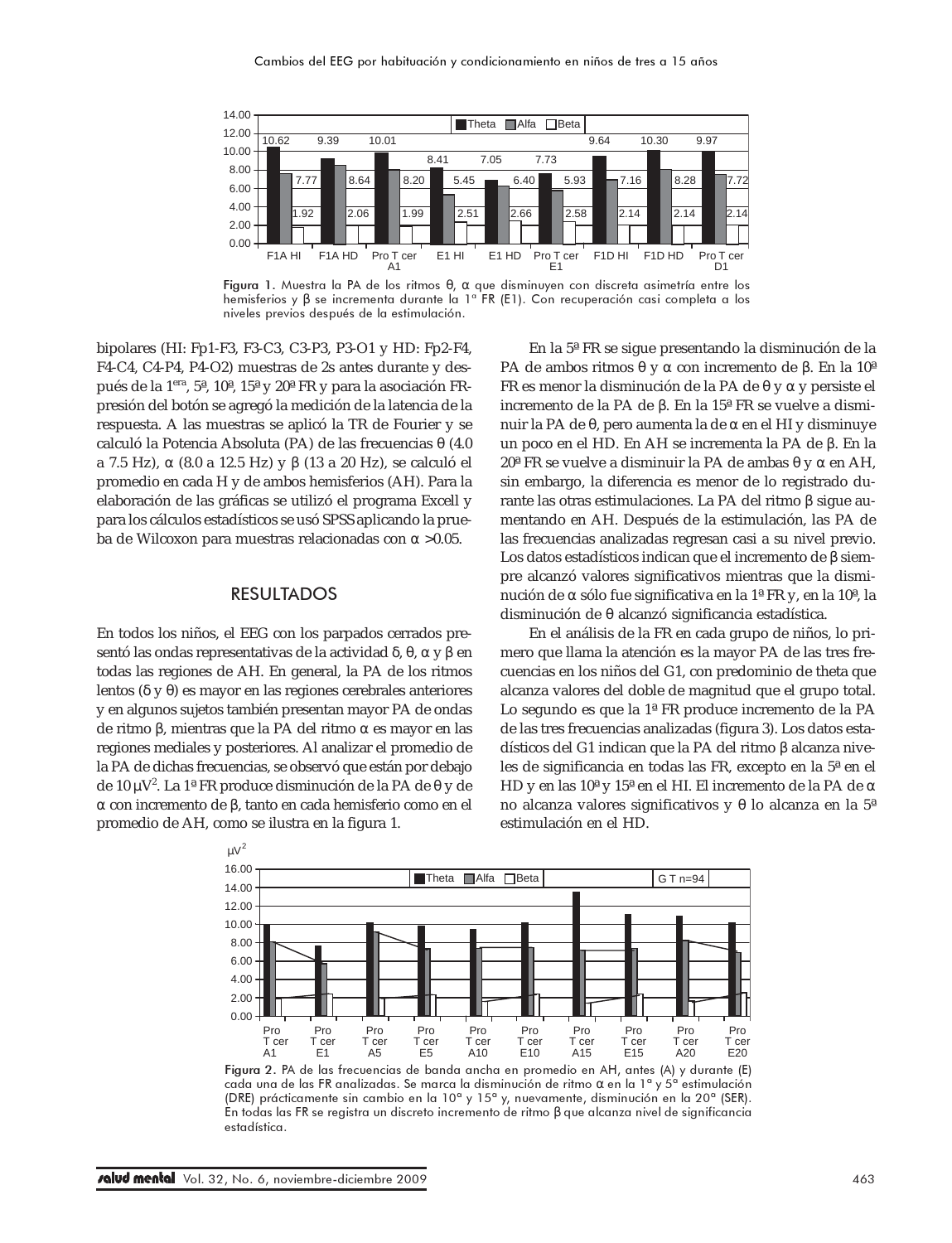

Figura 1. Muestra la PA de los ritmos θ, α que disminuyen con discreta asimetría entre los hemisferios y β se incrementa durante la 1ª FR (E1). Con recuperación casi completa a los niveles previos después de la estimulación.

bipolares (HI: Fp1-F3, F3-C3, C3-P3, P3-O1 y HD: Fp2-F4, F4-C4, C4-P4, P4-O2) muestras de 2s antes durante y después de la 1era, 5ª, 10ª, 15ª y 20ª FR y para la asociación FRpresión del botón se agregó la medición de la latencia de la respuesta. A las muestras se aplicó la TR de Fourier y se calculó la Potencia Absoluta (PA) de las frecuencias θ (4.0 a 7.5 Hz), α (8.0 a 12.5 Hz) y β (13 a 20 Hz), se calculó el promedio en cada H y de ambos hemisferios (AH). Para la elaboración de las gráficas se utilizó el programa Excell y para los cálculos estadísticos se usó SPSS aplicando la prueba de Wilcoxon para muestras relacionadas con α >0.05.

# RESULTADOS

En todos los niños, el EEG con los parpados cerrados presentó las ondas representativas de la actividad δ, θ, α y β en todas las regiones de AH. En general, la PA de los ritmos lentos (δ y θ) es mayor en las regiones cerebrales anteriores y en algunos sujetos también presentan mayor PA de ondas de ritmo β, mientras que la PA del ritmo α es mayor en las regiones mediales y posteriores. Al analizar el promedio de la PA de dichas frecuencias, se observó que están por debajo de 10 μV<sup>2</sup>. La 1ª FR produce disminución de la PA de θ y de α con incremento de β, tanto en cada hemisferio como en el promedio de AH, como se ilustra en la figura 1.

En la 5ª FR se sigue presentando la disminución de la PA de ambos ritmos θ y α con incremento de β. En la 10ª FR es menor la disminución de la PA de θ y α y persiste el incremento de la PA de β. En la 15ª FR se vuelve a disminuir la PA de θ, pero aumenta la de α en el HI y disminuye un poco en el HD. En AH se incrementa la PA de β. En la 20ª FR se vuelve a disminuir la PA de ambas θ y α en AH, sin embargo, la diferencia es menor de lo registrado durante las otras estimulaciones. La PA del ritmo β sigue aumentando en AH. Después de la estimulación, las PA de las frecuencias analizadas regresan casi a su nivel previo. Los datos estadísticos indican que el incremento de β siempre alcanzó valores significativos mientras que la disminución de α sólo fue significativa en la 1ª FR y, en la 10ª, la disminución de θ alcanzó significancia estadística.

En el análisis de la FR en cada grupo de niños, lo primero que llama la atención es la mayor PA de las tres frecuencias en los niños del G1, con predominio de theta que alcanza valores del doble de magnitud que el grupo total. Lo segundo es que la 1ª FR produce incremento de la PA de las tres frecuencias analizadas (figura 3). Los datos estadísticos del G1 indican que la PA del ritmo β alcanza niveles de significancia en todas las FR, excepto en la 5ª en el HD y en las 10ª y 15ª en el HI. El incremento de la PA de α no alcanza valores significativos y θ lo alcanza en la 5ª estimulación en el HD.



Figura 2. PA de las frecuencias de banda ancha en promedio en AH, antes (A) y durante (E) cada una de las FR analizadas. Se marca la disminución de ritmo α en la 1ª y 5ª estimulación (DRE) prácticamente sin cambio en la 10ª y 15ª y, nuevamente, disminución en la 20ª (SER). En todas las FR se registra un discreto incremento de ritmo β que alcanza nivel de significancia estadística.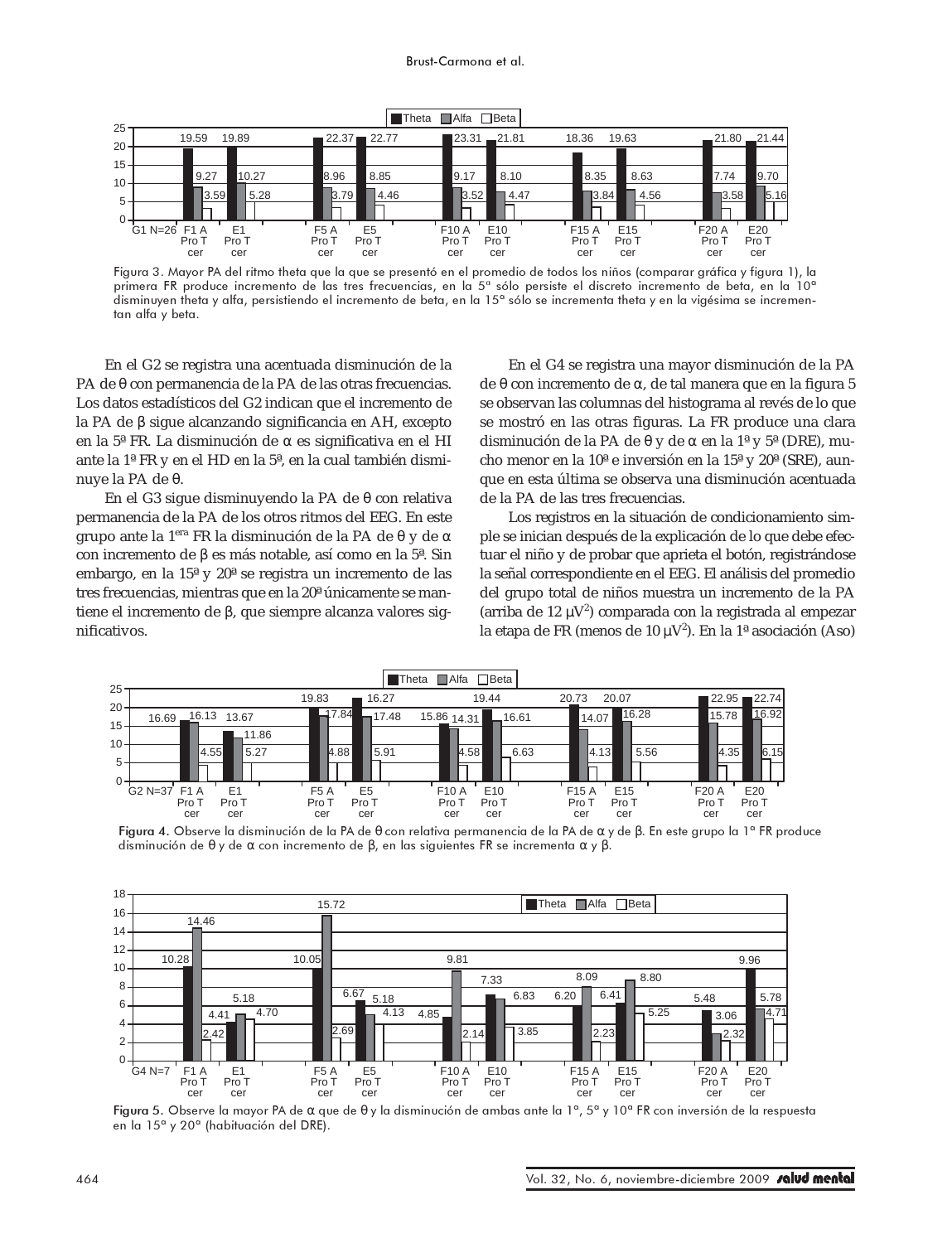

Figura 3. Mayor PA del ritmo theta que la que se presentó en el promedio de todos los niños (comparar gráfica y figura 1), la primera FR produce incremento de las tres frecuencias, en la 5ª sólo persiste el discreto incremento de beta, en la 10ª disminuyen theta y alfa, persistiendo el incremento de beta, en la 15ª sólo se incrementa theta y en la vigésima se incrementan alfa y beta.

En el G2 se registra una acentuada disminución de la PA de θ con permanencia de la PA de las otras frecuencias. Los datos estadísticos del G2 indican que el incremento de la PA de β sigue alcanzando significancia en AH, excepto en la 5ª FR. La disminución de α es significativa en el HI ante la 1ª FR y en el HD en la 5ª, en la cual también disminuye la PA de θ.

En el G3 sigue disminuyendo la PA de θ con relativa permanencia de la PA de los otros ritmos del EEG. En este grupo ante la 1era FR la disminución de la PA de θ y de α con incremento de β es más notable, así como en la 5ª. Sin embargo, en la 15ª y 20ª se registra un incremento de las tres frecuencias, mientras que en la 20ª únicamente se mantiene el incremento de β, que siempre alcanza valores significativos.

En el G4 se registra una mayor disminución de la PA de θ con incremento de α, de tal manera que en la figura 5 se observan las columnas del histograma al revés de lo que se mostró en las otras figuras. La FR produce una clara disminución de la PA de θ y de α en la 1ª y 5ª (DRE), mucho menor en la 10ª e inversión en la 15ª y 20ª (SRE), aunque en esta última se observa una disminución acentuada de la PA de las tres frecuencias.

Los registros en la situación de condicionamiento simple se inician después de la explicación de lo que debe efectuar el niño y de probar que aprieta el botón, registrándose la señal correspondiente en el EEG. El análisis del promedio del grupo total de niños muestra un incremento de la PA (arriba de 12  $\mu$ V<sup>2</sup>) comparada con la registrada al empezar la etapa de FR (menos de 10  $\mu$ V<sup>2</sup>). En la 1ª asociación (Aso)



Figura 4. Observe la disminución de la PA de θ con relativa permanencia de la PA de α y de β. En este grupo la 1ª FR produce disminución de θ y de α con incremento de β, en las siguientes FR se incrementa α y β.



Figura 5. Observe la mayor PA de α que de θ y la disminución de ambas ante la 1ª, 5ª y 10ª FR con inversión de la respuesta en la 15ª y 20ª (habituación del DRE).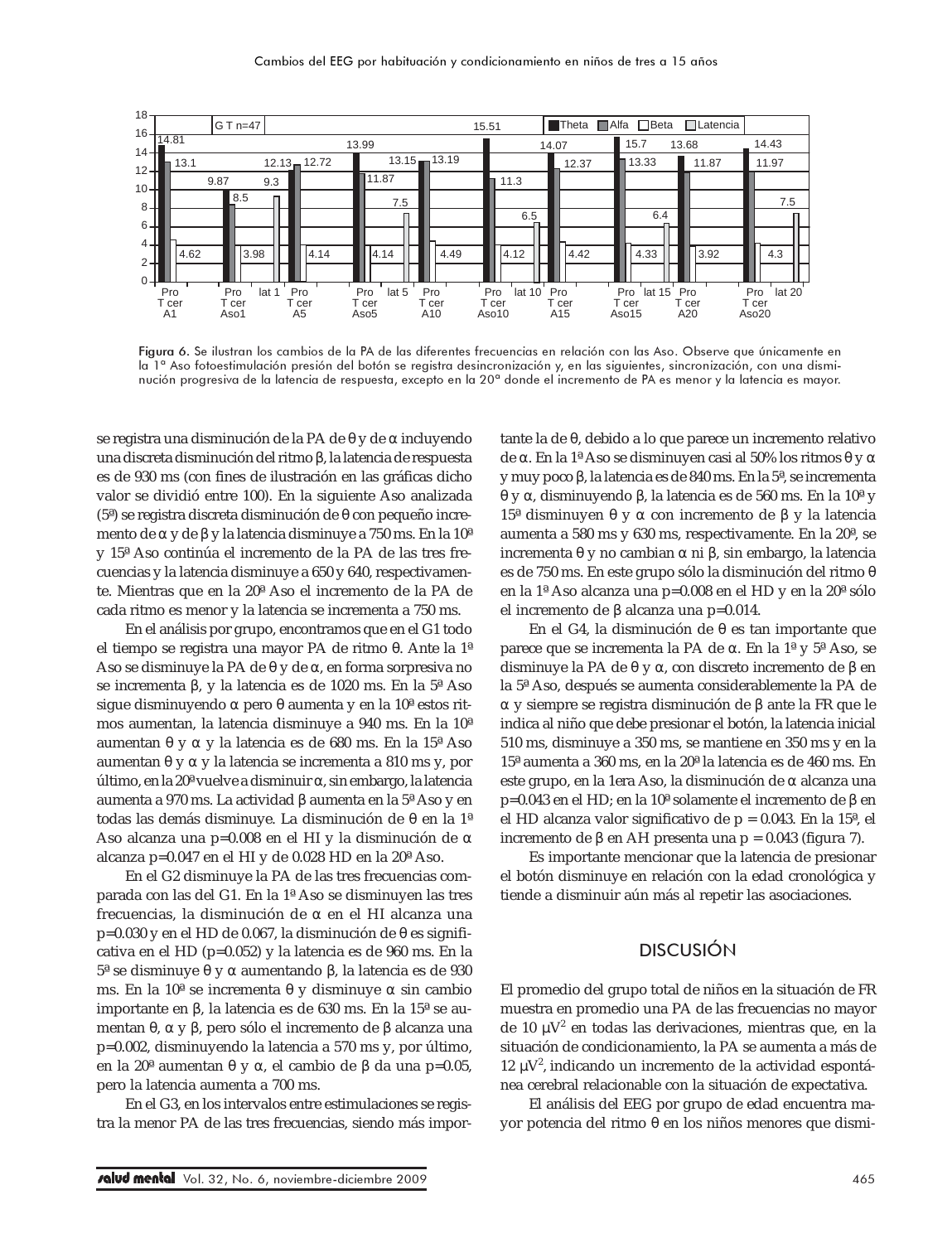

Figura 6. Se ilustran los cambios de la PA de las diferentes frecuencias en relación con las Aso. Observe que únicamente en la 1ª Aso fotoestimulación presión del botón se registra desincronización y, en las siguientes, sincronización, con una disminución progresiva de la latencia de respuesta, excepto en la 20ª donde el incremento de PA es menor y la latencia es mayor.

se registra una disminución de la PA de θ y de α incluyendo una discreta disminución del ritmo β, la latencia de respuesta es de 930 ms (con fines de ilustración en las gráficas dicho valor se dividió entre 100). En la siguiente Aso analizada (5ª) se registra discreta disminución de θ con pequeño incremento de α y de β y la latencia disminuye a 750 ms. En la 10ª y 15ª Aso continúa el incremento de la PA de las tres frecuencias y la latencia disminuye a 650 y 640, respectivamente. Mientras que en la 20ª Aso el incremento de la PA de cada ritmo es menor y la latencia se incrementa a 750 ms.

En el análisis por grupo, encontramos que en el G1 todo el tiempo se registra una mayor PA de ritmo θ. Ante la 1ª Aso se disminuye la PA de θ y de α, en forma sorpresiva no se incrementa β, y la latencia es de 1020 ms. En la 5ª Aso sigue disminuyendo α pero θ aumenta y en la 10ª estos ritmos aumentan, la latencia disminuye a 940 ms. En la 10ª aumentan θ y α y la latencia es de 680 ms. En la 15ª Aso aumentan θ y α y la latencia se incrementa a 810 ms y, por último, en la 20ª vuelve a disminuir α, sin embargo, la latencia aumenta a 970 ms. La actividad β aumenta en la 5ª Aso y en todas las demás disminuye. La disminución de θ en la 1ª Aso alcanza una p=0.008 en el HI y la disminución de α alcanza p=0.047 en el HI y de 0.028 HD en la 20ª Aso.

En el G2 disminuye la PA de las tres frecuencias comparada con las del G1. En la 1ª Aso se disminuyen las tres frecuencias, la disminución de α en el HI alcanza una p=0.030 y en el HD de 0.067, la disminución de θ es significativa en el HD (p=0.052) y la latencia es de 960 ms. En la 5ª se disminuye θ y α aumentando β, la latencia es de 930 ms. En la 10ª se incrementa θ y disminuye α sin cambio importante en β, la latencia es de 630 ms. En la 15ª se aumentan θ, α y β, pero sólo el incremento de β alcanza una p=0.002, disminuyendo la latencia a 570 ms y, por último, en la 20ª aumentan θ y α, el cambio de β da una p=0.05, pero la latencia aumenta a 700 ms.

En el G3, en los intervalos entre estimulaciones se registra la menor PA de las tres frecuencias, siendo más impor-

tante la de θ, debido a lo que parece un incremento relativo de α. En la 1ª Aso se disminuyen casi al 50% los ritmos θ y α y muy poco β, la latencia es de 840 ms. En la 5ª, se incrementa θ y α, disminuyendo β, la latencia es de 560 ms. En la 10ª y 15ª disminuyen θ y α con incremento de β y la latencia aumenta a 580 ms y 630 ms, respectivamente. En la 20ª, se incrementa θ y no cambian α ni β, sin embargo, la latencia es de 750 ms. En este grupo sólo la disminución del ritmo θ en la 1ª Aso alcanza una p=0.008 en el HD y en la 20ª sólo el incremento de β alcanza una p=0.014.

En el G4, la disminución de θ es tan importante que parece que se incrementa la PA de α. En la 1ª y 5ª Aso, se disminuye la PA de θ y α, con discreto incremento de β en la 5ª Aso, después se aumenta considerablemente la PA de α y siempre se registra disminución de β ante la FR que le indica al niño que debe presionar el botón, la latencia inicial 510 ms, disminuye a 350 ms, se mantiene en 350 ms y en la 15ª aumenta a 360 ms, en la 20ª la latencia es de 460 ms. En este grupo, en la 1era Aso, la disminución de α alcanza una p=0.043 en el HD; en la 10ª solamente el incremento de β en el HD alcanza valor significativo de p = 0.043. En la 15ª, el incremento de β en AH presenta una p = 0.043 (figura 7).

Es importante mencionar que la latencia de presionar el botón disminuye en relación con la edad cronológica y tiende a disminuir aún más al repetir las asociaciones.

# DISCUSIÓN

El promedio del grupo total de niños en la situación de FR muestra en promedio una PA de las frecuencias no mayor de 10 µV<sup>2</sup> en todas las derivaciones, mientras que, en la situación de condicionamiento, la PA se aumenta a más de  $12 \mu V^2$ , indicando un incremento de la actividad espontánea cerebral relacionable con la situación de expectativa.

El análisis del EEG por grupo de edad encuentra mayor potencia del ritmo θ en los niños menores que dismi-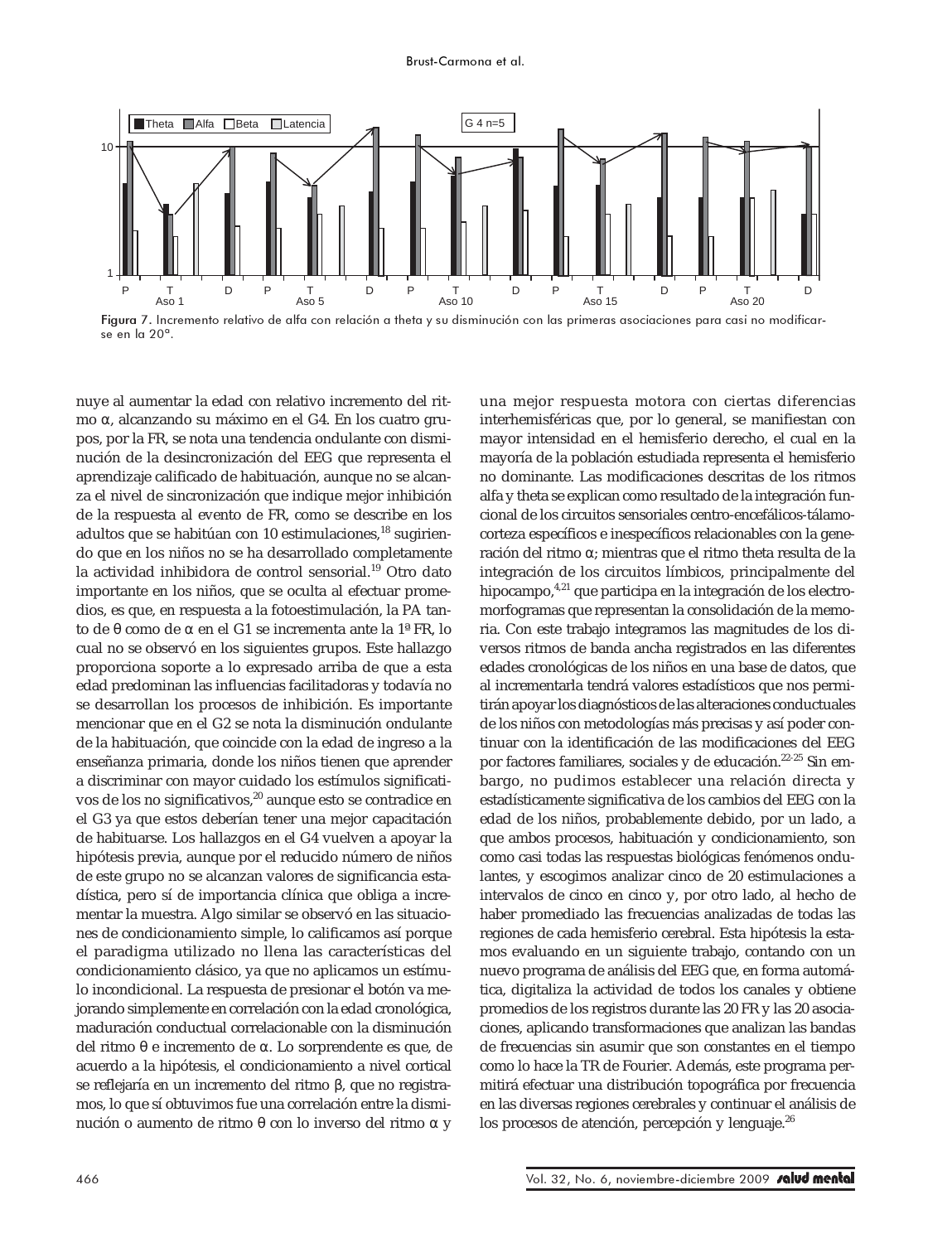

Figura 7. Incremento relativo de alfa con relación a theta y su disminución con las primeras asociaciones para casi no modificarse en la 20ª.

nuye al aumentar la edad con relativo incremento del ritmo α, alcanzando su máximo en el G4. En los cuatro grupos, por la FR, se nota una tendencia ondulante con disminución de la desincronización del EEG que representa el aprendizaje calificado de habituación, aunque no se alcanza el nivel de sincronización que indique mejor inhibición de la respuesta al evento de FR, como se describe en los adultos que se habitúan con 10 estimulaciones, $^{18}$  sugiriendo que en los niños no se ha desarrollado completamente la actividad inhibidora de control sensorial.<sup>19</sup> Otro dato importante en los niños, que se oculta al efectuar promedios, es que, en respuesta a la fotoestimulación, la PA tanto de θ como de α en el G1 se incrementa ante la 1ª FR, lo cual no se observó en los siguientes grupos. Este hallazgo proporciona soporte a lo expresado arriba de que a esta edad predominan las influencias facilitadoras y todavía no se desarrollan los procesos de inhibición. Es importante mencionar que en el G2 se nota la disminución ondulante de la habituación, que coincide con la edad de ingreso a la enseñanza primaria, donde los niños tienen que aprender a discriminar con mayor cuidado los estímulos significativos de los no significativos,<sup>20</sup> aunque esto se contradice en el G3 ya que estos deberían tener una mejor capacitación de habituarse. Los hallazgos en el G4 vuelven a apoyar la hipótesis previa, aunque por el reducido número de niños de este grupo no se alcanzan valores de significancia estadística, pero sí de importancia clínica que obliga a incrementar la muestra. Algo similar se observó en las situaciones de condicionamiento simple, lo calificamos así porque el paradigma utilizado no llena las características del condicionamiento clásico, ya que no aplicamos un estímulo incondicional. La respuesta de presionar el botón va mejorando simplemente en correlación con la edad cronológica, maduración conductual correlacionable con la disminución del ritmo θ e incremento de α. Lo sorprendente es que, de acuerdo a la hipótesis, el condicionamiento a nivel cortical se reflejaría en un incremento del ritmo β, que no registramos, lo que sí obtuvimos fue una correlación entre la disminución o aumento de ritmo θ con lo inverso del ritmo α y

una mejor respuesta motora con ciertas diferencias interhemisféricas que, por lo general, se manifiestan con mayor intensidad en el hemisferio derecho, el cual en la mayoría de la población estudiada representa el hemisferio no dominante. Las modificaciones descritas de los ritmos alfa y theta se explican como resultado de la integración funcional de los circuitos sensoriales centro-encefálicos-tálamocorteza específicos e inespecíficos relacionables con la generación del ritmo α; mientras que el ritmo theta resulta de la integración de los circuitos límbicos, principalmente del hipocampo,<sup>4,21</sup> que participa en la integración de los electromorfogramas que representan la consolidación de la memoria. Con este trabajo integramos las magnitudes de los diversos ritmos de banda ancha registrados en las diferentes edades cronológicas de los niños en una base de datos, que al incrementarla tendrá valores estadísticos que nos permitirán apoyar los diagnósticos de las alteraciones conductuales de los niños con metodologías más precisas y así poder continuar con la identificación de las modificaciones del EEG por factores familiares, sociales y de educación.22-25 Sin embargo, no pudimos establecer una relación directa y estadísticamente significativa de los cambios del EEG con la edad de los niños, probablemente debido, por un lado, a que ambos procesos, habituación y condicionamiento, son como casi todas las respuestas biológicas fenómenos ondulantes, y escogimos analizar cinco de 20 estimulaciones a intervalos de cinco en cinco y, por otro lado, al hecho de haber promediado las frecuencias analizadas de todas las regiones de cada hemisferio cerebral. Esta hipótesis la estamos evaluando en un siguiente trabajo, contando con un nuevo programa de análisis del EEG que, en forma automática, digitaliza la actividad de todos los canales y obtiene promedios de los registros durante las 20 FR y las 20 asociaciones, aplicando transformaciones que analizan las bandas de frecuencias sin asumir que son constantes en el tiempo como lo hace la TR de Fourier. Además, este programa permitirá efectuar una distribución topográfica por frecuencia en las diversas regiones cerebrales y continuar el análisis de los procesos de atención, percepción y lenguaje.<sup>26</sup>